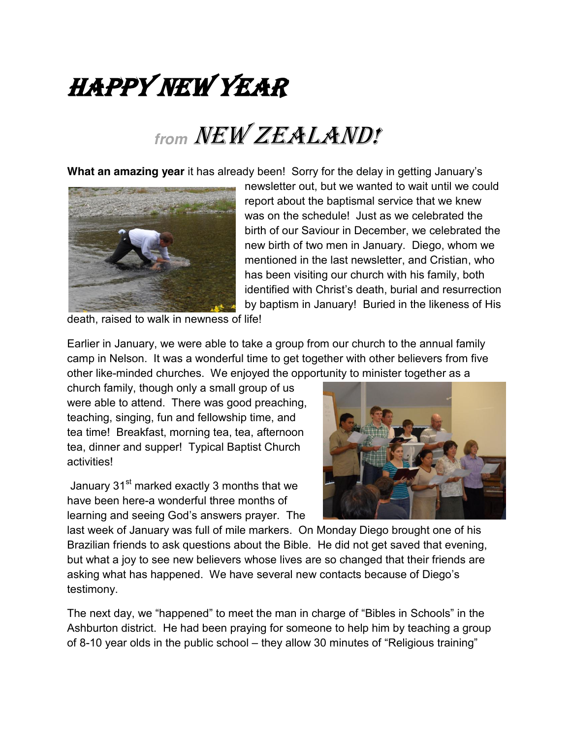## *HAPPY NEW YEAR*

## *from NEW ZEALAND!*

**What an amazing year** it has already been! Sorry for the delay in getting January's



newsletter out, but we wanted to wait until we could report about the baptismal service that we knew was on the schedule! Just as we celebrated the birth of our Saviour in December, we celebrated the new birth of two men in January. Diego, whom we mentioned in the last newsletter, and Cristian, who has been visiting our church with his family, both identified with Christ's death, burial and resurrection by baptism in January! Buried in the likeness of His

death, raised to walk in newness of life!

Earlier in January, we were able to take a group from our church to the annual family camp in Nelson. It was a wonderful time to get together with other believers from five other like-minded churches. We enjoyed the opportunity to minister together as a

church family, though only a small group of us were able to attend. There was good preaching, teaching, singing, fun and fellowship time, and tea time! Breakfast, morning tea, tea, afternoon tea, dinner and supper! Typical Baptist Church activities!

January 31<sup>st</sup> marked exactly 3 months that we have been here-a wonderful three months of learning and seeing God's answers prayer. The



last week of January was full of mile markers. On Monday Diego brought one of his Brazilian friends to ask questions about the Bible. He did not get saved that evening, but what a joy to see new believers whose lives are so changed that their friends are asking what has happened. We have several new contacts because of Diego's testimony.

The next day, we "happened" to meet the man in charge of "Bibles in Schools" in the Ashburton district. He had been praying for someone to help him by teaching a group of 8-10 year olds in the public school  $-$  they allow 30 minutes of "Religious training"